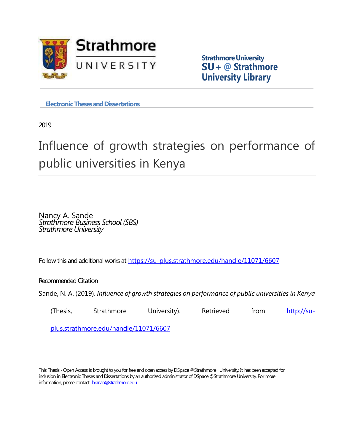

**Strathmore University SU+ @ Strathmore University Library**

**Electronic Theses and Dissertations** 

2019

# Influence of growth strategies on performance of public universities in Kenya

Nancy A. Sande *Strathmore Business School (SBS) Strathmore University*

Follow this and additional works at <https://su-plus.strathmore.edu/handle/11071/6607>

Recommended Citation

Sande, N. A. (2019). *Influence of growth strategies on performance of public universities in Kenya*

(Thesis, Strathmore University). Retrieved from [http://su-](http://su-plus.strathmore.edu/handle/11071/6607)

[plus.strathmore.edu/handle/11071/6607](http://su-plus.strathmore.edu/handle/11071/6607)

This Thesis - Open Access is brought to you for free and open access by DSpace @Strathmore University. It has been accepted for inclusion in Electronic Theses and Dissertations by an authorized administrator of DSpace @Strathmore University. For more information, please contact librarian@strathmore.edu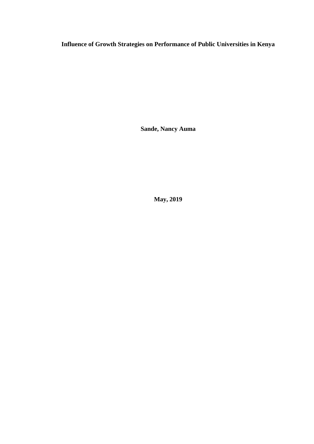**Influence of Growth Strategies on Performance of Public Universities in Kenya**

**Sande, Nancy Auma**

**May, 2019**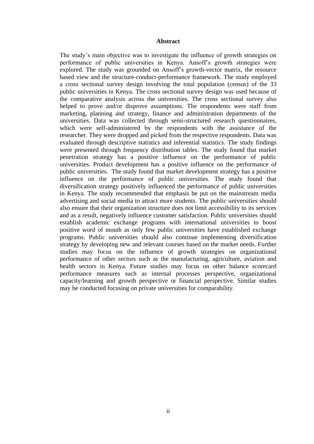#### **Abstract**

The study's main objective was to investigate the influence of growth strategies on performance of public universities in Kenya. Ansoff's growth strategies were explored. The study was grounded on Ansoff's growth-vector matrix, the resource based view and the structure-conduct-performance framework. The study employed a cross sectional survey design involving the total population (census) of the 33 public universities in Kenya. The cross sectional survey design was used because of the comparative analysis across the universities. The cross sectional survey also helped to prove and/or disprove assumptions. The respondents were staff from marketing, planning and strategy, finance and administration departments of the universities. Data was collected through semi-structured research questionnaires, which were self-administered by the respondents with the assistance of the researcher. They were dropped and picked from the respective respondents. Data was evaluated through descriptive statistics and inferential statistics. The study findings were presented through frequency distribution tables. The study found that market penetration strategy has a positive influence on the performance of public universities. Product development has a positive influence on the performance of public universities. The study found that market development strategy has a positive influence on the performance of public universities. The study found that diversification strategy positively influenced the performance of public universities in Kenya. The study recommended that emphasis be put on the mainstream media advertising and social media to attract more students. The public universities should also ensure that their organization structure does not limit accessibility to its services and as a result, negatively influence customer satisfaction. Public universities should establish academic exchange programs with international universities to boost positive word of mouth as only few public universities have established exchange programs. Public universities should also continue implementing diversification strategy by developing new and relevant courses based on the market needs. Further studies may focus on the influence of growth strategies on organizational performance of other sectors such as the manufacturing, agriculture, aviation and health sectors in Kenya. Future studies may focus on other balance scorecard performance measures such as internal processes perspective, organizational capacity/learning and growth perspective or financial perspective. Similar studies may be conducted focusing on private universities for comparability.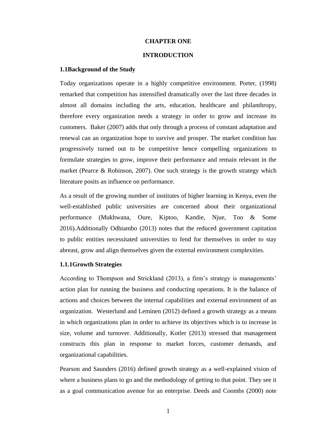#### **CHAPTER ONE**

#### **INTRODUCTION**

#### **1.1Background of the Study**

Today organizations operate in a highly competitive environment. Porter, (1998) remarked that competition has intensified dramatically over the last three decades in almost all domains including the arts, education, healthcare and philanthropy, therefore every organization needs a strategy in order to grow and increase its customers. Baker (2007) adds that only through a process of constant adaptation and renewal can an organization hope to survive and prosper. The market condition has progressively turned out to be competitive hence compelling organizations to formulate strategies to grow, improve their performance and remain relevant in the market (Pearce & Robinson, 2007). One such strategy is the growth strategy which literature posits an influence on performance.

As a result of the growing number of institutes of higher learning in Kenya, even the well-established public universities are concerned about their organizational performance (Mukhwana, Oure, Kiptoo, Kandie, Njue, Too & Some 2016)*.*Additionally Odhiambo (2013) notes that the reduced government capitation to public entities necessitated universities to fend for themselves in order to stay abreast, grow and align themselves given the external environment complexities.

#### **1.1.1Growth Strategies**

According to Thompson and Strickland (2013), a firm's strategy is managements' action plan for running the business and conducting operations. It is the balance of actions and choices between the internal capabilities and external environment of an organization. Westerlund and Leminen (2012) defined a growth strategy as a means in which organizations plan in order to achieve its objectives which is to increase in size, volume and turnover. Additionally, Kotler (2013) stressed that management constructs this plan in response to market forces, customer demands, and organizational capabilities.

Pearson and Saunders (2016) defined growth strategy as a well-explained vision of where a business plans to go and the methodology of getting to that point. They see it as a goal communication avenue for an enterprise. Deeds and Coombs (2000) note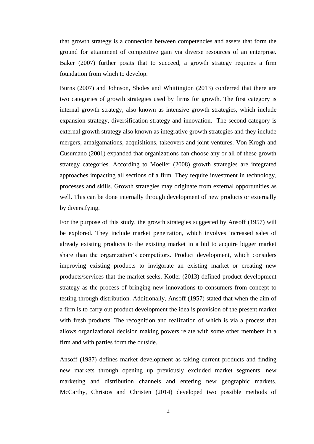that growth strategy is a connection between competencies and assets that form the ground for attainment of competitive gain via diverse resources of an enterprise. Baker (2007) further posits that to succeed, a growth strategy requires a firm foundation from which to develop.

Burns (2007) and Johnson, Sholes and Whittington (2013) conferred that there are two categories of growth strategies used by firms for growth. The first category is internal growth strategy, also known as intensive growth strategies, which include expansion strategy, diversification strategy and innovation. The second category is external growth strategy also known as integrative growth strategies and they include mergers, amalgamations, acquisitions, takeovers and joint ventures. Von Krogh and Cusumano (2001) expanded that organizations can choose any or all of these growth strategy categories. According to Moeller (2008) growth strategies are integrated approaches impacting all sections of a firm. They require investment in technology, processes and skills. Growth strategies may originate from external opportunities as well. This can be done internally through development of new products or externally by diversifying.

For the purpose of this study, the growth strategies suggested by Ansoff (1957) will be explored. They include market penetration, which involves increased sales of already existing products to the existing market in a bid to acquire bigger market share than the organization's competitors. Product development, which considers improving existing products to invigorate an existing market or creating new products/services that the market seeks. Kotler (2013) defined product development strategy as the process of bringing new innovations to consumers from concept to testing through distribution. Additionally, Ansoff (1957) stated that when the aim of a firm is to carry out product development the idea is provision of the present market with fresh products. The recognition and realization of which is via a process that allows organizational decision making powers relate with some other members in a firm and with parties form the outside.

Ansoff (1987) defines market development as taking current products and finding new markets through opening up previously excluded market segments, new marketing and distribution channels and entering new geographic markets. McCarthy, Christos and Christen (2014) developed two possible methods of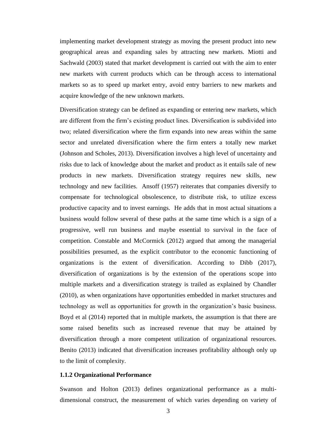implementing market development strategy as moving the present product into new geographical areas and expanding sales by attracting new markets. Miotti and Sachwald (2003) stated that market development is carried out with the aim to enter new markets with current products which can be through access to international markets so as to speed up market entry, avoid entry barriers to new markets and acquire knowledge of the new unknown markets.

Diversification strategy can be defined as expanding or entering new markets, which are different from the firm's existing product lines. Diversification is subdivided into two; related diversification where the firm expands into new areas within the same sector and unrelated diversification where the firm enters a totally new market (Johnson and Scholes, 2013). Diversification involves a high level of uncertainty and risks due to lack of knowledge about the market and product as it entails sale of new products in new markets. Diversification strategy requires new skills, new technology and new facilities. Ansoff (1957) reiterates that companies diversify to compensate for technological obsolescence, to distribute risk, to utilize excess productive capacity and to invest earnings. He adds that in most actual situations a business would follow several of these paths at the same time which is a sign of a progressive, well run business and maybe essential to survival in the face of competition. Constable and McCormick (2012) argued that among the managerial possibilities presumed, as the explicit contributor to the economic functioning of organizations is the extent of diversification. According to Dibb (2017), diversification of organizations is by the extension of the operations scope into multiple markets and a diversification strategy is trailed as explained by Chandler (2010), as when organizations have opportunities embedded in market structures and technology as well as opportunities for growth in the organization's basic business. Boyd et al (2014) reported that in multiple markets, the assumption is that there are some raised benefits such as increased revenue that may be attained by diversification through a more competent utilization of organizational resources. Benito (2013) indicated that diversification increases profitability although only up to the limit of complexity.

#### **1.1.2 Organizational Performance**

Swanson and Holton (2013) defines organizational performance as a multidimensional construct, the measurement of which varies depending on variety of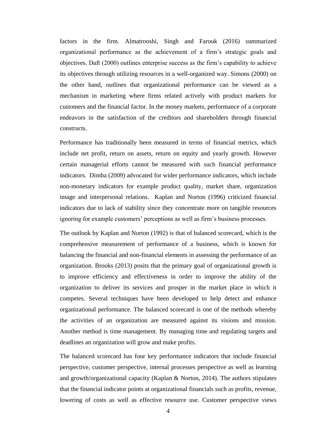factors in the firm. Almatrooshi, Singh and Farouk (2016) summarized organizational performance as the achievement of a firm's strategic goals and objectives. Daft (2000) outlines enterprise success as the firm's capability to achieve its objectives through utilizing resources in a well-organized way. Simons (2000) on the other hand, outlines that organizational performance can be viewed as a mechanism in marketing where firms related actively with product markets for customers and the financial factor. In the money markets, performance of a corporate endeavors in the satisfaction of the creditors and shareholders through financial constructs.

Performance has traditionally been measured in terms of financial metrics, which include net profit, return on assets, return on equity and yearly growth. However certain managerial efforts cannot be measured with such financial performance indicators. Dimba (2009) advocated for wider performance indicators, which include non-monetary indicators for example product quality, market share, organization image and interpersonal relations. Kaplan and Norton (1996) criticized financial indicators due to lack of stability since they concentrate more on tangible resources ignoring for example customers' perceptions as well as firm's business processes.

The outlook by Kaplan and Norton (1992) is that of balanced scorecard, which is the comprehensive measurement of performance of a business, which is known for balancing the financial and non-financial elements in assessing the performance of an organization. Brooks (2013) posits that the primary goal of organizational growth is to improve efficiency and effectiveness in order to improve the ability of the organization to deliver its services and prosper in the market place in which it competes. Several techniques have been developed to help detect and enhance organizational performance. The balanced scorecard is one of the methods whereby the activities of an organization are measured against its visions and mission. Another method is time management. By managing time and regulating targets and deadlines an organization will grow and make profits.

The balanced scorecard has four key performance indicators that include financial perspective, customer perspective, internal processes perspective as well as learning and growth/organizational capacity (Kaplan & Norton, 2014). The authors stipulates that the financial indicator points at organizational financials such as profits, revenue, lowering of costs as well as effective resource use. Customer perspective views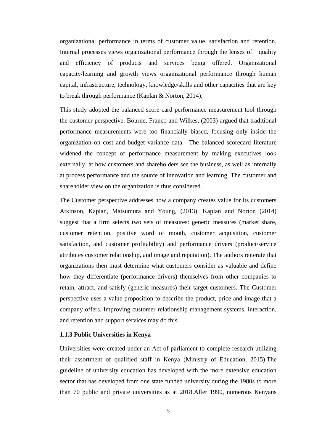organizational performance in terms of customer value, satisfaction and retention. Internal processes views organizational performance through the lenses of quality and efficiency of products and services being offered. Organizational capacity/learning and growth views organizational performance through human capital, infrastructure, technology, knowledge/skills and other capacities that are key to break through performance (Kaplan & Norton, 2014).

This study adopted the balanced score card performance measurement tool through the customer perspective. Bourne, Franco and Wilkes, (2003) argued that traditional performance measurements were too financially biased, focusing only inside the organization on cost and budget variance data. The balanced scorecard literature widened the concept of performance measurement by making executives look externally, at how customers and shareholders see the business, as well as internally at process performance and the source of innovation and learning. The customer and shareholder view on the organization is thus considered.

The Customer perspective addresses how a company creates value for its customers Atkinson, Kaplan, Matsumura and Young, (2013). Kaplan and Norton (2014) suggest that a firm selects two sets of measures: generic measures (market share, customer retention, positive word of mouth, customer acquisition, customer satisfaction, and customer profitability) and performance drivers (product/service attributes customer relationship, and image and reputation). The authors reiterate that organizations then must determine what customers consider as valuable and define how they differentiate (performance drivers) themselves from other companies to retain, attract, and satisfy (generic measures) their target customers. The Customer perspective uses a value proposition to describe the product, price and image that a company offers. Improving customer relationship management systems, interaction, and retention and support services may do this.

#### **1.1.3 Public Universities in Kenya**

Universities were created under an Act of parliament to complete research utilizing their assortment of qualified staff in Kenya (Ministry of Education, 2015).The guideline of university education has developed with the more extensive education sector that has developed from one state funded university during the 1980s to more than 70 public and private universities as at 2018.After 1990, numerous Kenyans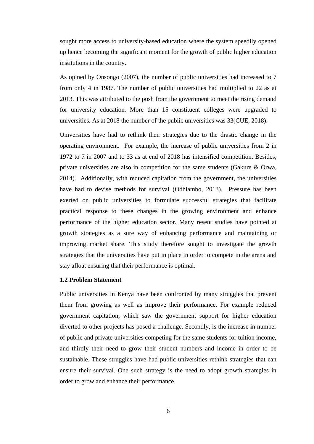sought more access to university-based education where the system speedily opened up hence becoming the significant moment for the growth of public higher education institutions in the country.

As opined by Onsongo (2007), the number of public universities had increased to 7 from only 4 in 1987. The number of public universities had multiplied to 22 as at 2013. This was attributed to the push from the government to meet the rising demand for university education. More than 15 constituent colleges were upgraded to universities. As at 2018 the number of the public universities was 33(CUE, 2018).

Universities have had to rethink their strategies due to the drastic change in the operating environment. For example, the increase of public universities from 2 in 1972 to 7 in 2007 and to 33 as at end of 2018 has intensified competition. Besides, private universities are also in competition for the same students (Gakure & Orwa, 2014). Additionally, with reduced capitation from the government, the universities have had to devise methods for survival (Odhiambo, 2013). Pressure has been exerted on public universities to formulate successful strategies that facilitate practical response to these changes in the growing environment and enhance performance of the higher education sector. Many resent studies have pointed at growth strategies as a sure way of enhancing performance and maintaining or improving market share. This study therefore sought to investigate the growth strategies that the universities have put in place in order to compete in the arena and stay afloat ensuring that their performance is optimal.

#### **1.2 Problem Statement**

Public universities in Kenya have been confronted by many struggles that prevent them from growing as well as improve their performance. For example reduced government capitation, which saw the government support for higher education diverted to other projects has posed a challenge. Secondly, is the increase in number of public and private universities competing for the same students for tuition income, and thirdly their need to grow their student numbers and income in order to be sustainable. These struggles have had public universities rethink strategies that can ensure their survival. One such strategy is the need to adopt growth strategies in order to grow and enhance their performance.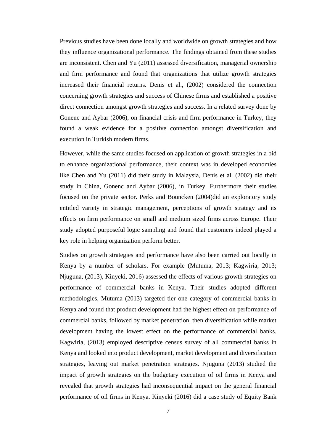Previous studies have been done locally and worldwide on growth strategies and how they influence organizational performance. The findings obtained from these studies are inconsistent. Chen and Yu (2011) assessed diversification, managerial ownership and firm performance and found that organizations that utilize growth strategies increased their financial returns. Denis et al., (2002) considered the connection concerning growth strategies and success of Chinese firms and established a positive direct connection amongst growth strategies and success. In a related survey done by Gonenc and Aybar (2006), on financial crisis and firm performance in Turkey, they found a weak evidence for a positive connection amongst diversification and execution in Turkish modern firms.

However, while the same studies focused on application of growth strategies in a bid to enhance organizational performance, their context was in developed economies like Chen and Yu (2011) did their study in Malaysia, Denis et al. (2002) did their study in China, Gonenc and Aybar (2006), in Turkey. Furthermore their studies focused on the private sector. Perks and Bouncken (2004)did an exploratory study entitled variety in strategic management, perceptions of growth strategy and its effects on firm performance on small and medium sized firms across Europe. Their study adopted purposeful logic sampling and found that customers indeed played a key role in helping organization perform better.

Studies on growth strategies and performance have also been carried out locally in Kenya by a number of scholars. For example (Mutuma, 2013; Kagwiria, 2013; Njuguna, (2013), Kinyeki, 2016) assessed the effects of various growth strategies on performance of commercial banks in Kenya. Their studies adopted different methodologies, Mutuma (2013) targeted tier one category of commercial banks in Kenya and found that product development had the highest effect on performance of commercial banks, followed by market penetration, then diversification while market development having the lowest effect on the performance of commercial banks. Kagwiria, (2013) employed descriptive census survey of all commercial banks in Kenya and looked into product development, market development and diversification strategies, leaving out market penetration strategies. Njuguna (2013) studied the impact of growth strategies on the budgetary execution of oil firms in Kenya and revealed that growth strategies had inconsequential impact on the general financial performance of oil firms in Kenya. Kinyeki (2016) did a case study of Equity Bank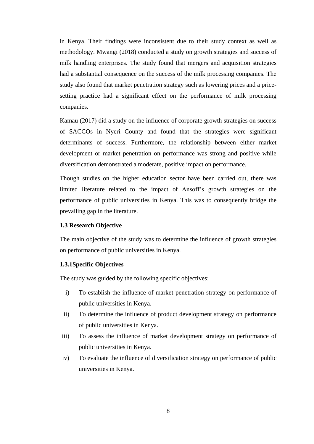in Kenya. Their findings were inconsistent due to their study context as well as methodology. Mwangi (2018) conducted a study on growth strategies and success of milk handling enterprises. The study found that mergers and acquisition strategies had a substantial consequence on the success of the milk processing companies. The study also found that market penetration strategy such as lowering prices and a pricesetting practice had a significant effect on the performance of milk processing companies.

Kamau (2017) did a study on the influence of corporate growth strategies on success of SACCOs in Nyeri County and found that the strategies were significant determinants of success. Furthermore, the relationship between either market development or market penetration on performance was strong and positive while diversification demonstrated a moderate, positive impact on performance.

Though studies on the higher education sector have been carried out, there was limited literature related to the impact of Ansoff's growth strategies on the performance of public universities in Kenya. This was to consequently bridge the prevailing gap in the literature.

#### **1.3 Research Objective**

The main objective of the study was to determine the influence of growth strategies on performance of public universities in Kenya.

#### **1.3.1Specific Objectives**

The study was guided by the following specific objectives:

- i) To establish the influence of market penetration strategy on performance of public universities in Kenya.
- ii) To determine the influence of product development strategy on performance of public universities in Kenya.
- iii) To assess the influence of market development strategy on performance of public universities in Kenya.
- iv) To evaluate the influence of diversification strategy on performance of public universities in Kenya.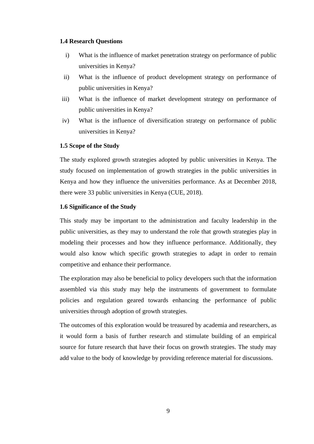#### **1.4 Research Questions**

- i) What is the influence of market penetration strategy on performance of public universities in Kenya?
- ii) What is the influence of product development strategy on performance of public universities in Kenya?
- iii) What is the influence of market development strategy on performance of public universities in Kenya?
- iv) What is the influence of diversification strategy on performance of public universities in Kenya?

### **1.5 Scope of the Study**

The study explored growth strategies adopted by public universities in Kenya. The study focused on implementation of growth strategies in the public universities in Kenya and how they influence the universities performance. As at December 2018, there were 33 public universities in Kenya (CUE, 2018).

### **1.6 Significance of the Study**

This study may be important to the administration and faculty leadership in the public universities, as they may to understand the role that growth strategies play in modeling their processes and how they influence performance. Additionally, they would also know which specific growth strategies to adapt in order to remain competitive and enhance their performance.

The exploration may also be beneficial to policy developers such that the information assembled via this study may help the instruments of government to formulate policies and regulation geared towards enhancing the performance of public universities through adoption of growth strategies.

The outcomes of this exploration would be treasured by academia and researchers, as it would form a basis of further research and stimulate building of an empirical source for future research that have their focus on growth strategies. The study may add value to the body of knowledge by providing reference material for discussions.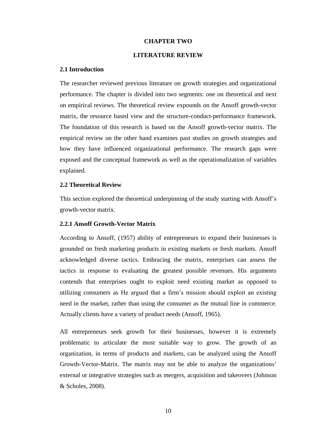#### **CHAPTER TWO**

#### **LITERATURE REVIEW**

#### **2.1 Introduction**

The researcher reviewed previous literature on growth strategies and organizational performance. The chapter is divided into two segments: one on theoretical and next on empirical reviews. The theoretical review expounds on the Ansoff growth-vector matrix, the resource based view and the structure-conduct-performance framework. The foundation of this research is based on the Ansoff growth-vector matrix. The empirical review on the other hand examines past studies on growth strategies and how they have influenced organizational performance. The research gaps were exposed and the conceptual framework as well as the operationalization of variables explained.

#### **2.2 Theoretical Review**

This section explored the theoretical underpinning of the study starting with Ansoff's growth-vector matrix.

#### **2.2.1 Ansoff Growth-Vector Matrix**

According to Ansoff, (1957) ability of entrepreneurs to expand their businesses is grounded on fresh marketing products in existing markets or fresh markets. Ansoff acknowledged diverse tactics. Embracing the matrix, enterprises can assess the tactics in response to evaluating the greatest possible revenues. His arguments contends that enterprises ought to exploit need existing market as opposed to utilizing consumers as He argued that a firm's mission should exploit an existing need in the market, rather than using the consumer as the mutual line in commerce. Actually clients have a variety of product needs (Ansoff, 1965).

All entrepreneurs seek growth for their businesses, however it is extremely problematic to articulate the most suitable way to grow. The growth of an organization, in terms of products and markets, can be analyzed using the Ansoff Growth-Vector-Matrix. The matrix may not be able to analyze the organizations' external or integrative strategies such as mergers, acquisition and takeovers (Johnson & Scholes, 2008).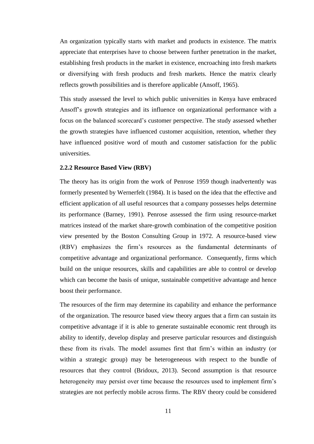An organization typically starts with market and products in existence. The matrix appreciate that enterprises have to choose between further penetration in the market, establishing fresh products in the market in existence, encroaching into fresh markets or diversifying with fresh products and fresh markets. Hence the matrix clearly reflects growth possibilities and is therefore applicable (Ansoff, 1965).

This study assessed the level to which public universities in Kenya have embraced Ansoff's growth strategies and its influence on organizational performance with a focus on the balanced scorecard's customer perspective. The study assessed whether the growth strategies have influenced customer acquisition, retention, whether they have influenced positive word of mouth and customer satisfaction for the public universities.

#### **2.2.2 Resource Based View (RBV)**

The theory has its origin from the work of Penrose 1959 though inadvertently was formerly presented by Wernerfelt (1984). It is based on the idea that the effective and efficient application of all useful resources that a company possesses helps determine its performance (Barney, 1991). Penrose assessed the firm using resource-market matrices instead of the market share-growth combination of the competitive position view presented by the Boston Consulting Group in 1972. A resource-based view (RBV) emphasizes the firm's resources as the fundamental determinants of competitive advantage and organizational performance. Consequently, firms which build on the unique resources, skills and capabilities are able to control or develop which can become the basis of unique, sustainable competitive advantage and hence boost their performance.

The resources of the firm may determine its capability and enhance the performance of the organization. The resource based view theory argues that a firm can sustain its competitive advantage if it is able to generate sustainable economic rent through its ability to identify, develop display and preserve particular resources and distinguish these from its rivals. The model assumes first that firm's within an industry (or within a strategic group) may be heterogeneous with respect to the bundle of resources that they control (Bridoux, 2013). Second assumption is that resource heterogeneity may persist over time because the resources used to implement firm's strategies are not perfectly mobile across firms. The RBV theory could be considered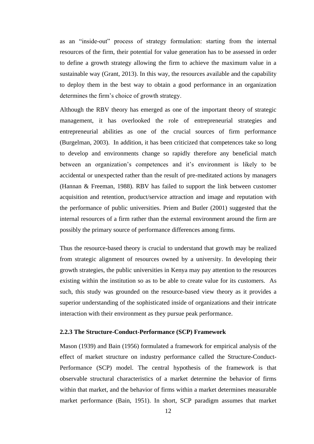as an "inside-out" process of strategy formulation: starting from the internal resources of the firm, their potential for value generation has to be assessed in order to define a growth strategy allowing the firm to achieve the maximum value in a sustainable way (Grant, 2013). In this way, the resources available and the capability to deploy them in the best way to obtain a good performance in an organization determines the firm's choice of growth strategy.

Although the RBV theory has emerged as one of the important theory of strategic management, it has overlooked the role of entrepreneurial strategies and entrepreneurial abilities as one of the crucial sources of firm performance (Burgelman, 2003). In addition, it has been criticized that competences take so long to develop and environments change so rapidly therefore any beneficial match between an organization's competences and it's environment is likely to be accidental or unexpected rather than the result of pre-meditated actions by managers (Hannan & Freeman, 1988). RBV has failed to support the link between customer acquisition and retention, product/service attraction and image and reputation with the performance of public universities. Priem and Butler (2001) suggested that the internal resources of a firm rather than the external environment around the firm are possibly the primary source of performance differences among firms.

Thus the resource-based theory is crucial to understand that growth may be realized from strategic alignment of resources owned by a university. In developing their growth strategies, the public universities in Kenya may pay attention to the resources existing within the institution so as to be able to create value for its customers. As such, this study was grounded on the resource-based view theory as it provides a superior understanding of the sophisticated inside of organizations and their intricate interaction with their environment as they pursue peak performance.

#### **2.2.3 The Structure-Conduct-Performance (SCP) Framework**

Mason (1939) and Bain (1956) formulated a framework for empirical analysis of the effect of market structure on industry performance called the Structure-Conduct-Performance (SCP) model. The central hypothesis of the framework is that observable structural characteristics of a market determine the behavior of firms within that market, and the behavior of firms within a market determines measurable market performance (Bain, 1951). In short, SCP paradigm assumes that market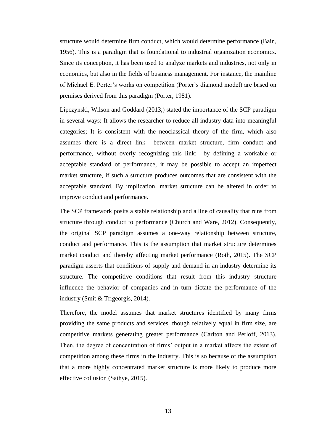structure would determine firm conduct, which would determine performance (Bain, 1956). This is a paradigm that is foundational to industrial organization economics. Since its conception, it has been used to analyze markets and industries, not only in economics, but also in the fields of business management. For instance, the mainline of Michael E. Porter's works on competition (Porter's diamond model) are based on premises derived from this paradigm (Porter, 1981).

Lipczynski, Wilson and Goddard (2013,) stated the importance of the SCP paradigm in several ways: It allows the researcher to reduce all industry data into meaningful categories; It is consistent with the neoclassical theory of the firm, which also assumes there is a direct link between market structure, firm conduct and performance, without overly recognizing this link; by defining a workable or acceptable standard of performance, it may be possible to accept an imperfect market structure, if such a structure produces outcomes that are consistent with the acceptable standard. By implication, market structure can be altered in order to improve conduct and performance.

The SCP framework posits a stable relationship and a line of causality that runs from structure through conduct to performance (Church and Ware, 2012). Consequently, the original SCP paradigm assumes a one-way relationship between structure, conduct and performance. This is the assumption that market structure determines market conduct and thereby affecting market performance (Roth, 2015). The SCP paradigm asserts that conditions of supply and demand in an industry determine its structure. The competitive conditions that result from this industry structure influence the behavior of companies and in turn dictate the performance of the industry (Smit & Trigeorgis, 2014).

Therefore, the model assumes that market structures identified by many firms providing the same products and services, though relatively equal in firm size, are competitive markets generating greater performance (Carlton and Perloff, 2013). Then, the degree of concentration of firms' output in a market affects the extent of competition among these firms in the industry. This is so because of the assumption that a more highly concentrated market structure is more likely to produce more effective collusion (Sathye, 2015).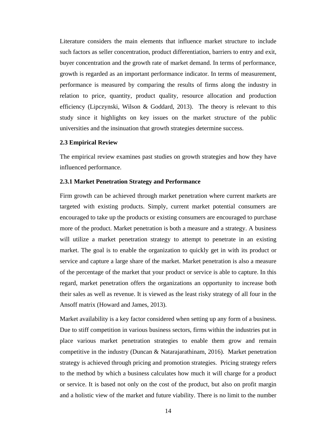Literature considers the main elements that influence market structure to include such factors as seller concentration, product differentiation, barriers to entry and exit, buyer concentration and the growth rate of market demand. In terms of performance, growth is regarded as an important performance indicator. In terms of measurement, performance is measured by comparing the results of firms along the industry in relation to price, quantity, product quality, resource allocation and production efficiency (Lipczynski, Wilson & Goddard, 2013). The theory is relevant to this study since it highlights on key issues on the market structure of the public universities and the insinuation that growth strategies determine success.

#### **2.3 Empirical Review**

The empirical review examines past studies on growth strategies and how they have influenced performance.

#### **2.3.1 Market Penetration Strategy and Performance**

Firm growth can be achieved through market penetration where current markets are targeted with existing products. Simply, current market potential consumers are encouraged to take up the products or existing consumers are encouraged to purchase more of the product. Market penetration is both a measure and a strategy. A business will utilize a market penetration strategy to attempt to penetrate in an existing market. The goal is to enable the organization to quickly get in with its product or service and capture a large share of the market. Market penetration is also a measure of the percentage of the market that your product or service is able to capture. In this regard, market penetration offers the organizations an opportunity to increase both their sales as well as revenue. It is viewed as the least risky strategy of all four in the Ansoff matrix (Howard and James, 2013).

Market availability is a key factor considered when setting up any form of a business. Due to stiff competition in various business sectors, firms within the industries put in place various market penetration strategies to enable them grow and remain competitive in the industry (Duncan & Natarajarathinam, 2016). Market penetration strategy is achieved through pricing and promotion strategies. Pricing strategy refers to the method by which a business calculates how much it will charge for a product or service. It is based not only on the cost of the product, but also on profit margin and a holistic view of the market and future viability. There is no limit to the number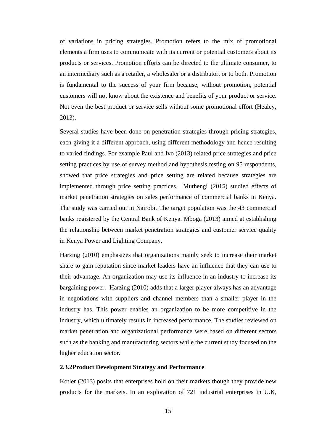of variations in pricing strategies. Promotion refers to the mix of promotional elements a firm uses to communicate with its current or potential customers about its products or services. Promotion efforts can be directed to the ultimate consumer, to an intermediary such as a retailer, a wholesaler or a distributor, or to both. Promotion is fundamental to the success of your firm because, without promotion, potential customers will not know about the existence and benefits of your product or service. Not even the best product or service sells without some promotional effort (Healey, 2013).

Several studies have been done on penetration strategies through pricing strategies, each giving it a different approach, using different methodology and hence resulting to varied findings. For example Paul and Ivo (2013) related price strategies and price setting practices by use of survey method and hypothesis testing on 95 respondents, showed that price strategies and price setting are related because strategies are implemented through price setting practices. Muthengi (2015) studied effects of market penetration strategies on sales performance of commercial banks in Kenya. The study was carried out in Nairobi. The target population was the 43 commercial banks registered by the Central Bank of Kenya. Mboga (2013) aimed at establishing the relationship between market penetration strategies and customer service quality in Kenya Power and Lighting Company.

Harzing (2010) emphasizes that organizations mainly seek to increase their market share to gain reputation since market leaders have an influence that they can use to their advantage. An organization may use its influence in an industry to increase its bargaining power. Harzing (2010) adds that a larger player always has an advantage in negotiations with suppliers and channel members than a smaller player in the industry has. This power enables an organization to be more competitive in the industry, which ultimately results in increased performance. The studies reviewed on market penetration and organizational performance were based on different sectors such as the banking and manufacturing sectors while the current study focused on the higher education sector.

#### **2.3.2Product Development Strategy and Performance**

Kotler (2013) posits that enterprises hold on their markets though they provide new products for the markets. In an exploration of 721 industrial enterprises in U.K,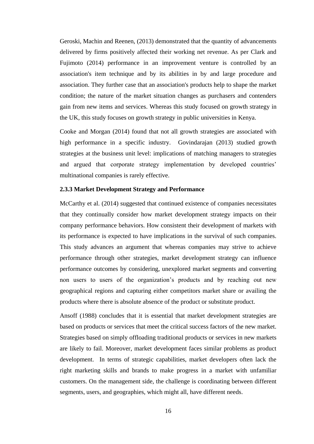Geroski, Machin and Reenen, (2013) demonstrated that the quantity of advancements delivered by firms positively affected their working net revenue. As per Clark and Fujimoto (2014) performance in an improvement venture is controlled by an association's item technique and by its abilities in by and large procedure and association. They further case that an association's products help to shape the market condition; the nature of the market situation changes as purchasers and contenders gain from new items and services. Whereas this study focused on growth strategy in the UK, this study focuses on growth strategy in public universities in Kenya.

Cooke and Morgan (2014) found that not all growth strategies are associated with high performance in a specific industry. Govindarajan (2013) studied growth strategies at the business unit level: implications of matching managers to strategies and argued that corporate strategy implementation by developed countries' multinational companies is rarely effective.

#### **2.3.3 Market Development Strategy and Performance**

McCarthy et al. (2014) suggested that continued existence of companies necessitates that they continually consider how market development strategy impacts on their company performance behaviors. How consistent their development of markets with its performance is expected to have implications in the survival of such companies. This study advances an argument that whereas companies may strive to achieve performance through other strategies, market development strategy can influence performance outcomes by considering, unexplored market segments and converting non users to users of the organization's products and by reaching out new geographical regions and capturing either competitors market share or availing the products where there is absolute absence of the product or substitute product.

Ansoff (1988) concludes that it is essential that market development strategies are based on products or services that meet the critical success factors of the new market. Strategies based on simply offloading traditional products or services in new markets are likely to fail. Moreover, market development faces similar problems as product development. In terms of strategic capabilities, market developers often lack the right marketing skills and brands to make progress in a market with unfamiliar customers. On the management side, the challenge is coordinating between different segments, users, and geographies, which might all, have different needs.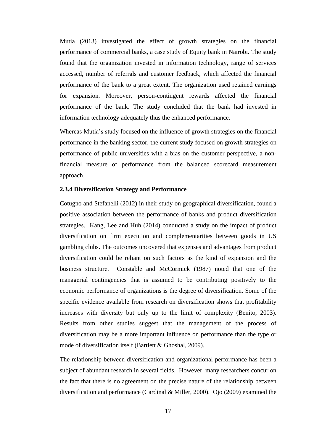Mutia (2013) investigated the effect of growth strategies on the financial performance of commercial banks, a case study of Equity bank in Nairobi. The study found that the organization invested in information technology, range of services accessed, number of referrals and customer feedback, which affected the financial performance of the bank to a great extent. The organization used retained earnings for expansion. Moreover, person-contingent rewards affected the financial performance of the bank. The study concluded that the bank had invested in information technology adequately thus the enhanced performance.

Whereas Mutia's study focused on the influence of growth strategies on the financial performance in the banking sector, the current study focused on growth strategies on performance of public universities with a bias on the customer perspective, a nonfinancial measure of performance from the balanced scorecard measurement approach.

#### **2.3.4 Diversification Strategy and Performance**

Cotugno and Stefanelli (2012) in their study on geographical diversification, found a positive association between the performance of banks and product diversification strategies. Kang, Lee and Huh (2014) conducted a study on the impact of product diversification on firm execution and complementarities between goods in US gambling clubs. The outcomes uncovered that expenses and advantages from product diversification could be reliant on such factors as the kind of expansion and the business structure. Constable and McCormick (1987) noted that one of the managerial contingencies that is assumed to be contributing positively to the economic performance of organizations is the degree of diversification. Some of the specific evidence available from research on diversification shows that profitability increases with diversity but only up to the limit of complexity (Benito, 2003). Results from other studies suggest that the management of the process of diversification may be a more important influence on performance than the type or mode of diversification itself (Bartlett & Ghoshal, 2009).

The relationship between diversification and organizational performance has been a subject of abundant research in several fields. However, many researchers concur on the fact that there is no agreement on the precise nature of the relationship between diversification and performance (Cardinal & Miller, 2000). Ojo (2009) examined the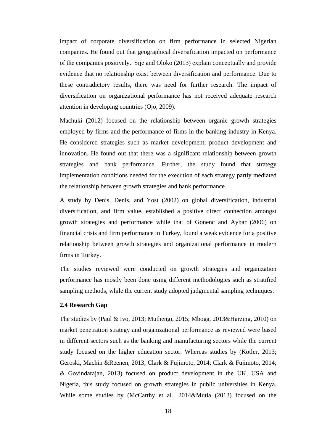impact of corporate diversification on firm performance in selected Nigerian companies. He found out that geographical diversification impacted on performance of the companies positively. Sije and Oloko (2013) explain conceptually and provide evidence that no relationship exist between diversification and performance. Due to these contradictory results, there was need for further research. The impact of diversification on organizational performance has not received adequate research attention in developing countries (Ojo, 2009).

Machuki (2012) focused on the relationship between organic growth strategies employed by firms and the performance of firms in the banking industry in Kenya. He considered strategies such as market development, product development and innovation. He found out that there was a significant relationship between growth strategies and bank performance. Further, the study found that strategy implementation conditions needed for the execution of each strategy partly mediated the relationship between growth strategies and bank performance.

A study by Denis, Denis, and Yost (2002) on global diversification, industrial diversification, and firm value, established a positive direct connection amongst growth strategies and performance while that of Gonenc and Aybar (2006) on financial crisis and firm performance in Turkey, found a weak evidence for a positive relationship between growth strategies and organizational performance in modern firms in Turkey.

The studies reviewed were conducted on growth strategies and organization performance has mostly been done using different methodologies such as stratified sampling methods, while the current study adopted judgmental sampling techniques.

#### **2.4 Research Gap**

The studies by (Paul & Ivo, 2013; Muthengi, 2015; Mboga, 2013&Harzing, 2010) on market penetration strategy and organizational performance as reviewed were based in different sectors such as the banking and manufacturing sectors while the current study focused on the higher education sector. Whereas studies by (Kotler, 2013; Geroski, Machin &Reenen, 2013; Clark & Fujimoto, 2014; Clark & Fujimoto, 2014; & Govindarajan, 2013) focused on product development in the UK, USA and Nigeria, this study focused on growth strategies in public universities in Kenya. While some studies by (McCarthy et al., 2014&Mutia (2013) focused on the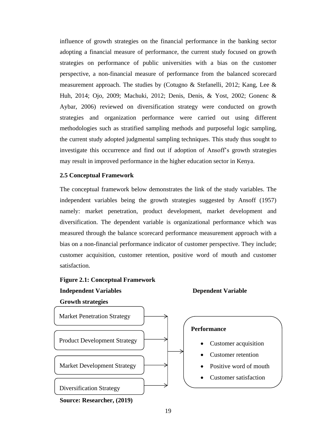influence of growth strategies on the financial performance in the banking sector adopting a financial measure of performance, the current study focused on growth strategies on performance of public universities with a bias on the customer perspective, a non-financial measure of performance from the balanced scorecard measurement approach. The studies by (Cotugno & Stefanelli, 2012; Kang, Lee & Huh, 2014; Ojo, 2009; Machuki, 2012; Denis, Denis, & Yost, 2002; Gonenc & Aybar, 2006) reviewed on diversification strategy were conducted on growth strategies and organization performance were carried out using different methodologies such as stratified sampling methods and purposeful logic sampling, the current study adopted judgmental sampling techniques. This study thus sought to investigate this occurrence and find out if adoption of Ansoff's growth strategies may result in improved performance in the higher education sector in Kenya.

#### **2.5 Conceptual Framework**

The conceptual framework below demonstrates the link of the study variables. The independent variables being the growth strategies suggested by Ansoff (1957) namely: market penetration, product development, market development and diversification. The dependent variable is organizational performance which was measured through the balance scorecard performance measurement approach with a bias on a non-financial performance indicator of customer perspective. They include; customer acquisition, customer retention, positive word of mouth and customer satisfaction.

#### **Figure 2.1: Conceptual Framework**

# **Independent Variables Dependent Variable**



**Source: Researcher, (2019)**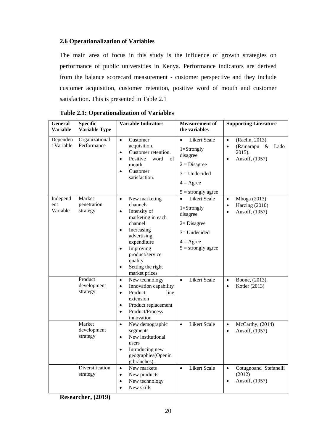### **2.6 Operationalization of Variables**

The main area of focus in this study is the influence of growth strategies on performance of public universities in Kenya. Performance indicators are derived from the balance scorecard measurement - customer perspective and they include customer acquisition, customer retention, positive word of mouth and customer satisfaction. This is presented in Table 2.1

| <b>General</b><br><b>Variable</b> | <b>Specific</b><br><b>Variable Type</b> | <b>Variable Indicators</b>                                                                                                                                                                                                                                              | <b>Measurement</b> of<br>the variables                                                                                                           | <b>Supporting Literature</b>                                                                                 |
|-----------------------------------|-----------------------------------------|-------------------------------------------------------------------------------------------------------------------------------------------------------------------------------------------------------------------------------------------------------------------------|--------------------------------------------------------------------------------------------------------------------------------------------------|--------------------------------------------------------------------------------------------------------------|
| Dependen<br>t Variable            | Organizational<br>Performance           | $\bullet$<br>Customer<br>acquisition.<br>Customer retention.<br>$\bullet$<br>Positive<br>word<br>of<br>$\bullet$<br>mouth.<br>Customer<br>$\bullet$<br>satisfaction.                                                                                                    | Likert Scale<br>$\bullet$<br>$1 =$ Strongly<br>disagree<br>$2 = Disagree$<br>$3 =$ Undecided<br>$4 = \text{Agree}$<br>$5 =$ strongly agree       | $\bullet$<br>(Raelin, 2013).<br>(Ramarapu $\&$<br>Lado<br>$\bullet$<br>2015).<br>Ansoff, (1957)<br>$\bullet$ |
| Independ<br>ent<br>Variable       | Market<br>penetration<br>strategy       | New marketing<br>$\bullet$<br>channels<br>Intensity of<br>$\bullet$<br>marketing in each<br>channel<br>Increasing<br>$\bullet$<br>advertising<br>expenditure<br>Improving<br>$\bullet$<br>product/service<br>quality<br>Setting the right<br>$\bullet$<br>market prices | <b>Likert Scale</b><br>$\bullet$<br>$1 =$ Strongly<br>disagree<br>$2 = Disagree$<br>$3=$ Undecided<br>$4 = \text{Agree}$<br>$5 =$ strongly agree | Mboga (2013)<br>$\bullet$<br>Harzing (2010)<br>$\bullet$<br>Ansoff, (1957)<br>$\bullet$                      |
|                                   | Product<br>development<br>strategy      | New technology<br>$\bullet$<br>Innovation capability<br>$\bullet$<br>Product<br>line<br>$\bullet$<br>extension<br>Product replacement<br>$\bullet$<br>Product/Process<br>$\bullet$<br>innovation                                                                        | <b>Likert Scale</b><br>$\bullet$                                                                                                                 | Boone, (2013).<br>$\bullet$<br>Kotler (2013)<br>$\bullet$                                                    |
|                                   | Market<br>development<br>strategy       | New demographic<br>$\bullet$<br>segments<br>New institutional<br>$\bullet$<br>users<br>Introducing new<br>$\bullet$<br>geographies(Openin<br>g branches).                                                                                                               | <b>Likert Scale</b><br>$\bullet$                                                                                                                 | McCarthy, (2014)<br>$\bullet$<br>Ansoff, (1957)<br>$\bullet$                                                 |
|                                   | Diversification<br>strategy             | New markets<br>$\bullet$<br>New products<br>$\bullet$<br>New technology<br>$\bullet$<br>New skills<br>$\bullet$                                                                                                                                                         | <b>Likert Scale</b><br>$\bullet$                                                                                                                 | Cotugnoand Stefanelli<br>$\bullet$<br>(2012)<br>Ansoff, (1957)                                               |

**Researcher, (2019)**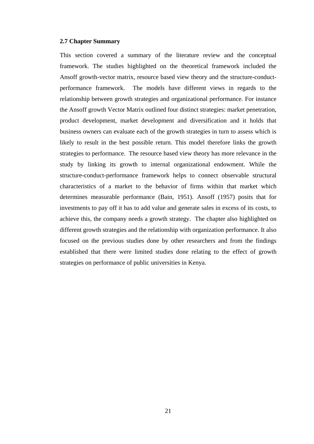#### **2.7 Chapter Summary**

This section covered a summary of the literature review and the conceptual framework. The studies highlighted on the theoretical framework included the Ansoff growth-vector matrix, resource based view theory and the structure-conductperformance framework. The models have different views in regards to the relationship between growth strategies and organizational performance. For instance the Ansoff growth Vector Matrix outlined four distinct strategies: market penetration, product development, market development and diversification and it holds that business owners can evaluate each of the growth strategies in turn to assess which is likely to result in the best possible return. This model therefore links the growth strategies to performance. The resource based view theory has more relevance in the study by linking its growth to internal organizational endowment. While the structure-conduct-performance framework helps to connect observable structural characteristics of a market to the behavior of firms within that market which determines measurable performance (Bain, 1951). Ansoff (1957) posits that for investments to pay off it has to add value and generate sales in excess of its costs, to achieve this, the company needs a growth strategy. The chapter also highlighted on different growth strategies and the relationship with organization performance. It also focused on the previous studies done by other researchers and from the findings established that there were limited studies done relating to the effect of growth strategies on performance of public universities in Kenya.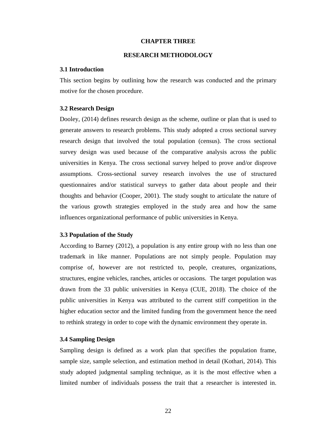#### **CHAPTER THREE**

#### **RESEARCH METHODOLOGY**

#### **3.1 Introduction**

This section begins by outlining how the research was conducted and the primary motive for the chosen procedure.

#### **3.2 Research Design**

Dooley, (2014) defines research design as the scheme, outline or plan that is used to generate answers to research problems. This study adopted a cross sectional survey research design that involved the total population (census). The cross sectional survey design was used because of the comparative analysis across the public universities in Kenya. The cross sectional survey helped to prove and/or disprove assumptions. Cross-sectional survey research involves the use of structured questionnaires and/or statistical surveys to gather data about people and their thoughts and behavior (Cooper, 2001). The study sought to articulate the nature of the various growth strategies employed in the study area and how the same influences organizational performance of public universities in Kenya.

#### **3.3 Population of the Study**

According to Barney (2012), a population is any entire group with no less than one trademark in like manner. Populations are not simply people. Population may comprise of, however are not restricted to, people, creatures, organizations, structures, engine vehicles, ranches, articles or occasions. The target population was drawn from the 33 public universities in Kenya (CUE, 2018). The choice of the public universities in Kenya was attributed to the current stiff competition in the higher education sector and the limited funding from the government hence the need to rethink strategy in order to cope with the dynamic environment they operate in.

#### **3.4 Sampling Design**

Sampling design is defined as a work plan that specifies the population frame, sample size, sample selection, and estimation method in detail (Kothari, 2014). This study adopted judgmental sampling technique, as it is the most effective when a limited number of individuals possess the trait that a researcher is interested in.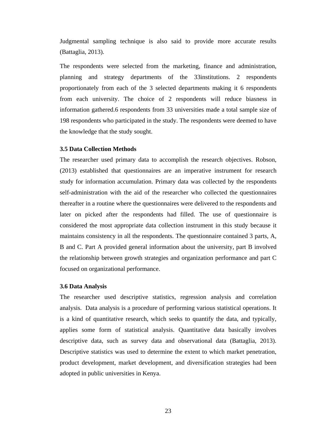Judgmental sampling technique is also said to provide more accurate results (Battaglia, 2013).

The respondents were selected from the marketing, finance and administration, planning and strategy departments of the 33institutions. 2 respondents proportionately from each of the 3 selected departments making it 6 respondents from each university. The choice of 2 respondents will reduce biasness in information gathered.6 respondents from 33 universities made a total sample size of 198 respondents who participated in the study. The respondents were deemed to have the knowledge that the study sought.

#### **3.5 Data Collection Methods**

The researcher used primary data to accomplish the research objectives. Robson, (2013) established that questionnaires are an imperative instrument for research study for information accumulation. Primary data was collected by the respondents self-administration with the aid of the researcher who collected the questionnaires thereafter in a routine where the questionnaires were delivered to the respondents and later on picked after the respondents had filled. The use of questionnaire is considered the most appropriate data collection instrument in this study because it maintains consistency in all the respondents. The questionnaire contained 3 parts, A, B and C. Part A provided general information about the university, part B involved the relationship between growth strategies and organization performance and part C focused on organizational performance.

#### **3.6 Data Analysis**

The researcher used descriptive statistics, regression analysis and correlation analysis. [Data analysis](http://www.statisticssolutions.com/statistical-consulting) is a procedure of performing various statistical operations. It is a kind of quantitative research, which seeks to quantify the data, and typically, applies some form of statistical analysis. Quantitative data basically involves descriptive data, such as survey data and observational data (Battaglia, 2013). Descriptive statistics was used to determine the extent to which market penetration, product development, market development, and diversification strategies had been adopted in public universities in Kenya.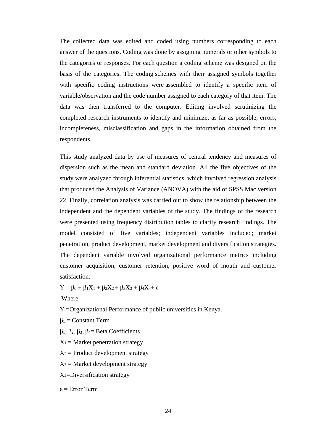The collected data was edited and coded using numbers corresponding to each answer of the questions. Coding was done by assigning numerals or other symbols to the categories or responses. For each question a coding scheme was designed on the basis of the categories. The coding schemes with their assigned symbols together with specific coding instructions were assembled to identify a specific item of variable/observation and the code number assigned to each category of that item. The data was then transferred to the computer. Editing involved scrutinizing the completed research instruments to identify and minimize, as far as possible, errors, incompleteness, misclassification and gaps in the information obtained from the respondents.

This study analyzed data by use of measures of central tendency and measures of dispersion such as the mean and standard deviation. All the five objectives of the study were analyzed through inferential statistics, which involved regression analysis that produced the Analysis of Variance (ANOVA) with the aid of SPSS Mac version 22. Finally, correlation analysis was carried out to show the relationship between the independent and the dependent variables of the study. The findings of the research were presented using frequency distribution tables to clarify research findings. The model consisted of five variables; independent variables included; market penetration, product development, market development and diversification strategies. The dependent variable involved organizational performance metrics including customer acquisition, customer retention, positive word of mouth and customer satisfaction.

 $Y = \beta_0 + \beta_1 X_1 + \beta_2 X_2 + \beta_3 X_3 + \beta_4 X_4 + \varepsilon$ 

Where

Y =Organizational Performance of public universities in Kenya.

- $β<sub>1</sub> = Constant Term$
- β1, β2, β3, β4= Beta Coefficients
- $X_1$  = Market penetration strategy
- $X_2$  = Product development strategy
- $X_3$  = Market development strategy
- X4=Diversification strategy
- ε = Error Term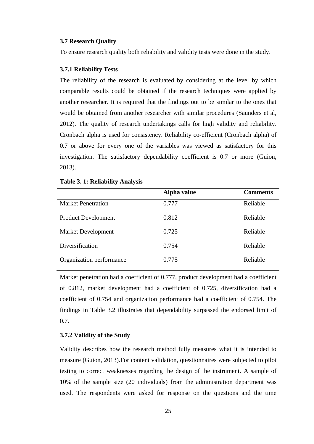#### **3.7 Research Quality**

To ensure research quality both reliability and validity tests were done in the study.

#### **3.7.1 Reliability Tests**

The reliability of the research is evaluated by considering at the level by which comparable results could be obtained if the research techniques were applied by another researcher. It is required that the findings out to be similar to the ones that would be obtained from another researcher with similar procedures (Saunders et al*,* 2012). The quality of research undertakings calls for high validity and reliability. Cronbach alpha is used for consistency. Reliability co-efficient (Cronbach alpha) of 0.7 or above for every one of the variables was viewed as satisfactory for this investigation. The satisfactory dependability coefficient is 0.7 or more (Guion, 2013).

|                            | Alpha value | <b>Comments</b> |
|----------------------------|-------------|-----------------|
| <b>Market Penetration</b>  | 0.777       | Reliable        |
| <b>Product Development</b> | 0.812       | Reliable        |
| <b>Market Development</b>  | 0.725       | Reliable        |
| Diversification            | 0.754       | Reliable        |
| Organization performance   | 0.775       | Reliable        |

#### **Table 3. 1: Reliability Analysis**

Market penetration had a coefficient of 0.777, product development had a coefficient of 0.812, market development had a coefficient of 0.725, diversification had a coefficient of 0.754 and organization performance had a coefficient of 0.754. The findings in Table 3.2 illustrates that dependability surpassed the endorsed limit of 0.7.

#### **3.7.2 Validity of the Study**

Validity describes how the research method fully measures what it is intended to measure (Guion, 2013).For content validation, questionnaires were subjected to pilot testing to correct weaknesses regarding the design of the instrument. A sample of 10% of the sample size (20 individuals) from the administration department was used. The respondents were asked for response on the questions and the time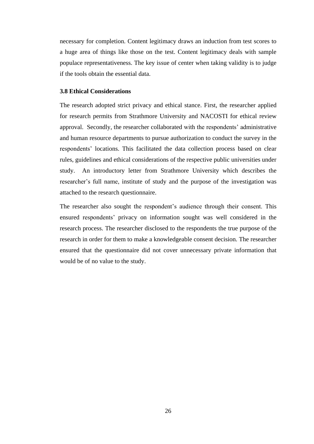necessary for completion. Content legitimacy draws an induction from test scores to a huge area of things like those on the test. Content legitimacy deals with sample populace representativeness. The key issue of center when taking validity is to judge if the tools obtain the essential data.

#### **3.8 Ethical Considerations**

The research adopted strict privacy and ethical stance. First, the researcher applied for research permits from Strathmore University and NACOSTI for ethical review approval. Secondly, the researcher collaborated with the respondents' administrative and human resource departments to pursue authorization to conduct the survey in the respondents' locations. This facilitated the data collection process based on clear rules, guidelines and ethical considerations of the respective public universities under study. An introductory letter from Strathmore University which describes the researcher's full name, institute of study and the purpose of the investigation was attached to the research questionnaire.

The researcher also sought the respondent's audience through their consent. This ensured respondents' privacy on information sought was well considered in the research process. The researcher disclosed to the respondents the true purpose of the research in order for them to make a knowledgeable consent decision. The researcher ensured that the questionnaire did not cover unnecessary private information that would be of no value to the study.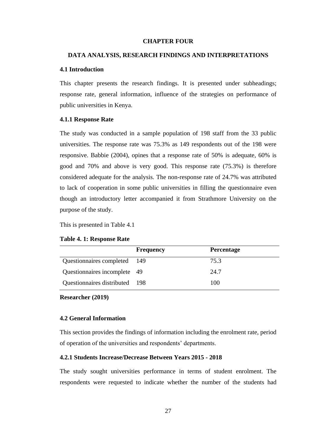#### **CHAPTER FOUR**

#### **DATA ANALYSIS, RESEARCH FINDINGS AND INTERPRETATIONS**

#### **4.1 Introduction**

This chapter presents the research findings. It is presented under subheadings; response rate, general information, influence of the strategies on performance of public universities in Kenya.

#### **4.1.1 Response Rate**

The study was conducted in a sample population of 198 staff from the 33 public universities. The response rate was 75.3% as 149 respondents out of the 198 were responsive. Babbie (2004), opines that a response rate of 50% is adequate, 60% is good and 70% and above is very good. This response rate (75.3%) is therefore considered adequate for the analysis. The non-response rate of 24.7% was attributed to lack of cooperation in some public universities in filling the questionnaire even though an introductory letter accompanied it from Strathmore University on the purpose of the study.

This is presented in Table 4.1

#### **Table 4. 1: Response Rate**

|                                | <b>Frequency</b> | <b>Percentage</b> |
|--------------------------------|------------------|-------------------|
| Questionnaires completed 149   |                  | 75.3              |
| Questionnaires incomplete 49   |                  | 24.7              |
| Questionnaires distributed 198 |                  | 100               |

**Researcher (2019)**

#### **4.2 General Information**

This section provides the findings of information including the enrolment rate, period of operation of the universities and respondents' departments.

#### **4.2.1 Students Increase/Decrease Between Years 2015 - 2018**

The study sought universities performance in terms of student enrolment. The respondents were requested to indicate whether the number of the students had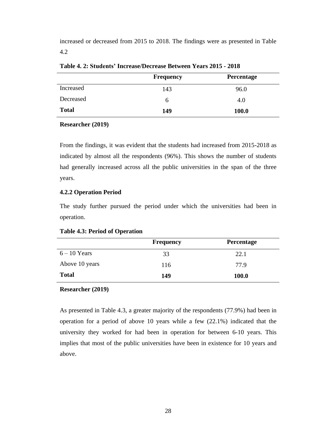increased or decreased from 2015 to 2018. The findings were as presented in Table 4.2

|              | <b>Frequency</b> | Percentage |
|--------------|------------------|------------|
| Increased    | 143              | 96.0       |
| Decreased    | b                | 4.0        |
| <b>Total</b> | 149              | 100.0      |

**Table 4. 2: Students' Increase/Decrease Between Years 2015 - 2018**

#### **Researcher (2019)**

From the findings, it was evident that the students had increased from 2015-2018 as indicated by almost all the respondents (96%). This shows the number of students had generally increased across all the public universities in the span of the three years.

#### **4.2.2 Operation Period**

The study further pursued the period under which the universities had been in operation.

**Table 4.3: Period of Operation**

|                | <b>Frequency</b> | <b>Percentage</b> |
|----------------|------------------|-------------------|
| $6 - 10$ Years | 33               | 22.1              |
| Above 10 years | 116              | 77.9              |
| <b>Total</b>   | 149              | 100.0             |

#### **Researcher (2019)**

As presented in Table 4.3, a greater majority of the respondents (77.9%) had been in operation for a period of above 10 years while a few (22.1%) indicated that the university they worked for had been in operation for between 6-10 years. This implies that most of the public universities have been in existence for 10 years and above.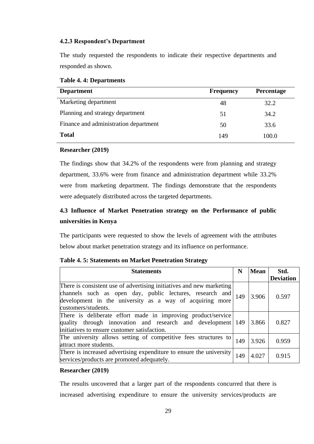#### **4.2.3 Respondent's Department**

The study requested the respondents to indicate their respective departments and responded as shown.

| <b>Department</b>                     | <b>Frequency</b> | Percentage |
|---------------------------------------|------------------|------------|
| Marketing department                  | 48               | 32.2       |
| Planning and strategy department      | 51               | 34.2       |
| Finance and administration department | 50               | 33.6       |
| <b>Total</b>                          | 149              | 100.0      |

#### **Researcher (2019)**

The findings show that 34.2% of the respondents were from planning and strategy department, 33.6% were from finance and administration department while 33.2% were from marketing department. The findings demonstrate that the respondents were adequately distributed across the targeted departments.

# **4.3 Influence of Market Penetration strategy on the Performance of public universities in Kenya**

The participants were requested to show the levels of agreement with the attributes below about market penetration strategy and its influence on performance.

| <b>Statements</b>                                                                                                                                                                                                   |     | <b>Mean</b> | Std.             |
|---------------------------------------------------------------------------------------------------------------------------------------------------------------------------------------------------------------------|-----|-------------|------------------|
|                                                                                                                                                                                                                     |     |             | <b>Deviation</b> |
| There is consistent use of advertising initiatives and new marketing<br>channels such as open day, public lectures, research and<br>development in the university as a way of acquiring more<br>customers/students. | 149 | 3.906       | 0.597            |
| There is deliberate effort made in improving product/service<br>quality through innovation and research and development<br>initiatives to ensure customer satisfaction.                                             | 149 | 3.866       | 0.827            |
| The university allows setting of competitive fees structures to<br>attract more students.                                                                                                                           | 149 | 3.926       | 0.959            |
| There is increased advertising expenditure to ensure the university<br>services/products are promoted adequately.                                                                                                   | 149 | 4.027       | 0.915            |

#### **Table 4. 5: Statements on Market Penetration Strategy**

#### **Researcher (2019)**

The results uncovered that a larger part of the respondents concurred that there is increased advertising expenditure to ensure the university services/products are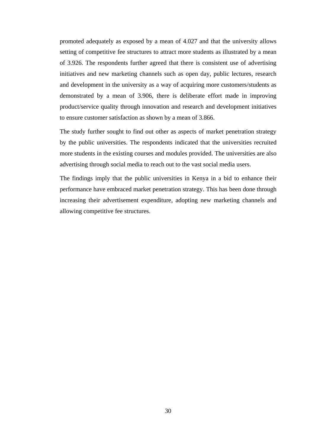promoted adequately as exposed by a mean of 4.027 and that the university allows setting of competitive fee structures to attract more students as illustrated by a mean of 3.926. The respondents further agreed that there is consistent use of advertising initiatives and new marketing channels such as open day, public lectures, research and development in the university as a way of acquiring more customers/students as demonstrated by a mean of 3.906, there is deliberate effort made in improving product/service quality through innovation and research and development initiatives to ensure customer satisfaction as shown by a mean of 3.866.

The study further sought to find out other as aspects of market penetration strategy by the public universities. The respondents indicated that the universities recruited more students in the existing courses and modules provided. The universities are also advertising through social media to reach out to the vast social media users.

The findings imply that the public universities in Kenya in a bid to enhance their performance have embraced market penetration strategy. This has been done through increasing their advertisement expenditure, adopting new marketing channels and allowing competitive fee structures.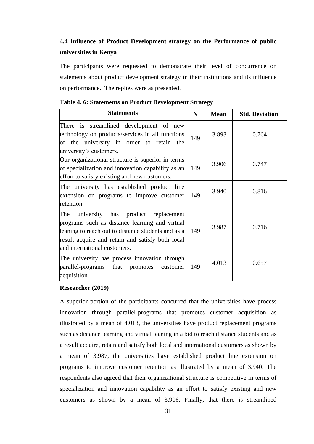# **4.4 Influence of Product Development strategy on the Performance of public universities in Kenya**

The participants were requested to demonstrate their level of concurrence on statements about product development strategy in their institutions and its influence on performance. The replies were as presented.

| <b>Statements</b>                                                                                                                                                                                                                     | N   | <b>Mean</b> | <b>Std. Deviation</b> |
|---------------------------------------------------------------------------------------------------------------------------------------------------------------------------------------------------------------------------------------|-----|-------------|-----------------------|
| There is streamlined development of new<br>technology on products/services in all functions<br>of the university in order to retain the<br>university's customers.                                                                    | 149 | 3.893       | 0.764                 |
| Our organizational structure is superior in terms<br>of specialization and innovation capability as an<br>effort to satisfy existing and new customers.                                                                               | 149 | 3.906       | 0.747                 |
| The university has established product line<br>extension on programs to improve customer<br>retention.                                                                                                                                | 149 | 3.940       | 0.816                 |
| The<br>university has product replacement<br>programs such as distance learning and virtual<br>leaning to reach out to distance students and as a<br>result acquire and retain and satisfy both local<br>and international customers. | 149 | 3.987       | 0.716                 |
| The university has process innovation through<br>parallel-programs that promotes<br>customer<br>acquisition.                                                                                                                          | 149 | 4.013       | 0.657                 |

#### **Table 4. 6: Statements on Product Development Strategy**

#### **Researcher (2019)**

A superior portion of the participants concurred that the universities have process innovation through parallel-programs that promotes customer acquisition as illustrated by a mean of 4.013, the universities have product replacement programs such as distance learning and virtual leaning in a bid to reach distance students and as a result acquire, retain and satisfy both local and international customers as shown by a mean of 3.987, the universities have established product line extension on programs to improve customer retention as illustrated by a mean of 3.940. The respondents also agreed that their organizational structure is competitive in terms of specialization and innovation capability as an effort to satisfy existing and new customers as shown by a mean of 3.906. Finally, that there is streamlined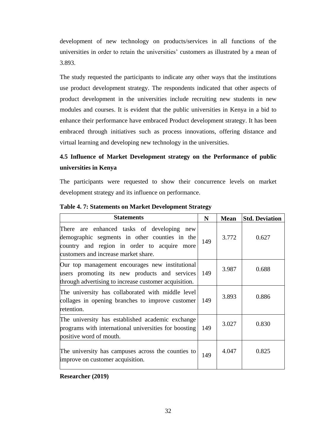development of new technology on products/services in all functions of the universities in order to retain the universities' customers as illustrated by a mean of 3.893.

The study requested the participants to indicate any other ways that the institutions use product development strategy. The respondents indicated that other aspects of product development in the universities include recruiting new students in new modules and courses. It is evident that the public universities in Kenya in a bid to enhance their performance have embraced Product development strategy. It has been embraced through initiatives such as process innovations, offering distance and virtual learning and developing new technology in the universities.

# **4.5 Influence of Market Development strategy on the Performance of public universities in Kenya**

The participants were requested to show their concurrence levels on market development strategy and its influence on performance.

| <b>Statements</b>                                                                                                                                                                  | N   | <b>Mean</b> | <b>Std. Deviation</b> |
|------------------------------------------------------------------------------------------------------------------------------------------------------------------------------------|-----|-------------|-----------------------|
| There are enhanced tasks of developing new<br>demographic segments in other counties in the<br>country and region in order to acquire more<br>customers and increase market share. | 149 | 3.772       | 0.627                 |
| Our top management encourages new institutional<br>users promoting its new products and services<br>through advertising to increase customer acquisition.                          | 149 | 3.987       | 0.688                 |
| The university has collaborated with middle level<br>collages in opening branches to improve customer<br>retention.                                                                | 149 | 3.893       | 0.886                 |
| The university has established academic exchange<br>programs with international universities for boosting<br>positive word of mouth.                                               | 149 | 3.027       | 0.830                 |
| The university has campuses across the counties to<br>improve on customer acquisition.                                                                                             | 149 | 4.047       | 0.825                 |

**Table 4. 7: Statements on Market Development Strategy**

**Researcher (2019)**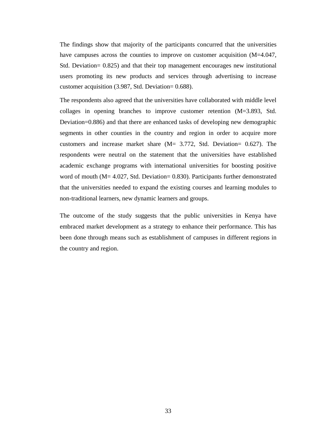The findings show that majority of the participants concurred that the universities have campuses across the counties to improve on customer acquisition (M=4.047, Std. Deviation= 0.825) and that their top management encourages new institutional users promoting its new products and services through advertising to increase customer acquisition (3.987, Std. Deviation= 0.688).

The respondents also agreed that the universities have collaborated with middle level collages in opening branches to improve customer retention (M=3.893, Std. Deviation=0.886) and that there are enhanced tasks of developing new demographic segments in other counties in the country and region in order to acquire more customers and increase market share (M= 3.772, Std. Deviation= 0.627). The respondents were neutral on the statement that the universities have established academic exchange programs with international universities for boosting positive word of mouth (M= 4.027, Std. Deviation= 0.830). Participants further demonstrated that the universities needed to expand the existing courses and learning modules to non-traditional learners, new dynamic learners and groups.

The outcome of the study suggests that the public universities in Kenya have embraced market development as a strategy to enhance their performance. This has been done through means such as establishment of campuses in different regions in the country and region.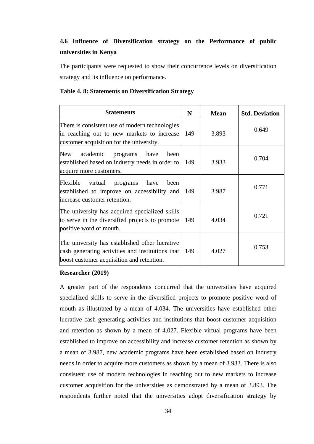# **4.6 Influence of Diversification strategy on the Performance of public universities in Kenya**

The participants were requested to show their concurrence levels on diversification strategy and its influence on performance.

#### **Table 4. 8: Statements on Diversification Strategy**

| <b>Statements</b>                                                                                                                               | N   | <b>Mean</b> | <b>Std. Deviation</b> |
|-------------------------------------------------------------------------------------------------------------------------------------------------|-----|-------------|-----------------------|
| There is consistent use of modern technologies<br>in reaching out to new markets to increase<br>customer acquisition for the university.        | 149 | 3.893       | 0.649                 |
| academic<br><b>New</b><br>have<br>programs<br>been<br>established based on industry needs in order to<br>acquire more customers.                | 149 | 3.933       | 0.704                 |
| Flexible<br>virtual<br>have<br>programs<br>been<br>established to improve on accessibility and<br>increase customer retention.                  | 149 | 3.987       | 0.771                 |
| The university has acquired specialized skills<br>to serve in the diversified projects to promote<br>positive word of mouth.                    | 149 | 4.034       | 0.721                 |
| The university has established other lucrative<br>cash generating activities and institutions that<br>boost customer acquisition and retention. | 149 | 4.027       | 0.753                 |

#### **Researcher (2019)**

A greater part of the respondents concurred that the universities have acquired specialized skills to serve in the diversified projects to promote positive word of mouth as illustrated by a mean of 4.034. The universities have established other lucrative cash generating activities and institutions that boost customer acquisition and retention as shown by a mean of 4.027. Flexible virtual programs have been established to improve on accessibility and increase customer retention as shown by a mean of 3.987, new academic programs have been established based on industry needs in order to acquire more customers as shown by a mean of 3.933. There is also consistent use of modern technologies in reaching out to new markets to increase customer acquisition for the universities as demonstrated by a mean of 3.893. The respondents further noted that the universities adopt diversification strategy by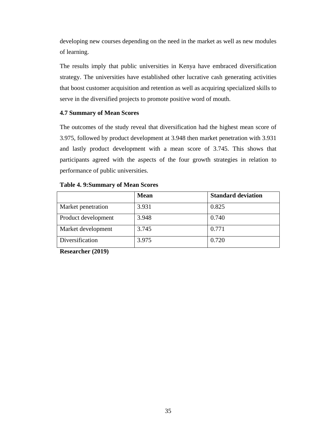developing new courses depending on the need in the market as well as new modules of learning.

The results imply that public universities in Kenya have embraced diversification strategy. The universities have established other lucrative cash generating activities that boost customer acquisition and retention as well as acquiring specialized skills to serve in the diversified projects to promote positive word of mouth.

#### **4.7 Summary of Mean Scores**

The outcomes of the study reveal that diversification had the highest mean score of 3.975, followed by product development at 3.948 then market penetration with 3.931 and lastly product development with a mean score of 3.745. This shows that participants agreed with the aspects of the four growth strategies in relation to performance of public universities.

|  | <b>Table 4. 9:Summary of Mean Scores</b> |  |  |
|--|------------------------------------------|--|--|
|--|------------------------------------------|--|--|

|                     | <b>Mean</b> | <b>Standard deviation</b> |
|---------------------|-------------|---------------------------|
| Market penetration  | 3.931       | 0.825                     |
| Product development | 3.948       | 0.740                     |
| Market development  | 3.745       | 0.771                     |
| Diversification     | 3.975       | 0.720                     |

**Researcher (2019)**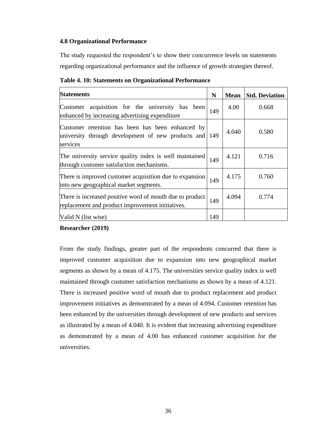#### **4.8 Organizational Performance**

The study requested the respondent's to show their concurrence levels on statements regarding organizational performance and the influence of growth strategies thereof.

| <b>Statements</b>                                                                                                      | N   | <b>Mean</b> | <b>Std. Deviation</b> |
|------------------------------------------------------------------------------------------------------------------------|-----|-------------|-----------------------|
| Customer acquisition for the university has been<br>enhanced by increasing advertising expenditure                     | 149 | 4.00        | 0.668                 |
| Customer retention has been has been enhanced by<br>university through development of new products and 149<br>services |     | 4.040       | 0.580                 |
| The university service quality index is well maintained<br>through customer satisfaction mechanisms.                   | 149 | 4.121       | 0.716                 |
| There is improved customer acquisition due to expansion<br>into new geographical market segments.                      | 149 | 4.175       | 0.760                 |
| There is increased positive word of mouth due to product<br>replacement and product improvement initiatives.           | 149 | 4.094       | 0.774                 |
| Valid N (list wise)                                                                                                    | 149 |             |                       |

**Table 4. 10: Statements on Organizational Performance**

### **Researcher (2019)**

From the study findings, greater part of the respondents concurred that there is improved customer acquisition due to expansion into new geographical market segments as shown by a mean of 4.175. The universities service quality index is well maintained through customer satisfaction mechanisms as shown by a mean of 4.121. There is increased positive word of mouth due to product replacement and product improvement initiatives as demonstrated by a mean of 4.094. Customer retention has been enhanced by the universities through development of new products and services as illustrated by a mean of 4.040. It is evident that increasing advertising expenditure as demonstrated by a mean of 4.00 has enhanced customer acquisition for the universities.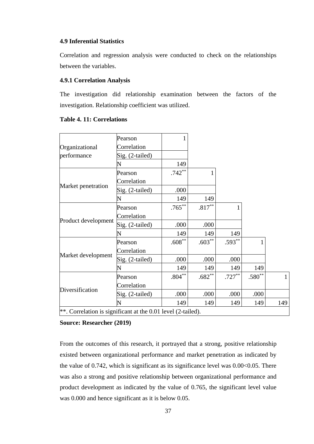#### **4.9 Inferential Statistics**

Correlation and regression analysis were conducted to check on the relationships between the variables.

#### **4.9.1 Correlation Analysis**

The investigation did relationship examination between the factors of the investigation. Relationship coefficient was utilized.

|                                                              | Pearson           |           |                   |           |          |              |
|--------------------------------------------------------------|-------------------|-----------|-------------------|-----------|----------|--------------|
| Organizational                                               | Correlation       |           |                   |           |          |              |
| performance                                                  | Sig. (2-tailed)   |           |                   |           |          |              |
|                                                              | N                 | 149       |                   |           |          |              |
|                                                              | Pearson           | $.742**$  |                   |           |          |              |
|                                                              | Correlation       |           |                   |           |          |              |
| Market penetration                                           | $Sig. (2-tailed)$ | .000      |                   |           |          |              |
|                                                              | N                 | 149       | 149               |           |          |              |
|                                                              | Pearson           | $.765***$ | $.817^{\ast\ast}$ |           |          |              |
|                                                              | Correlation       |           |                   |           |          |              |
| Product development                                          | Sig. (2-tailed)   | .000      | .000              |           |          |              |
|                                                              |                   | 149       | 149               | 149       |          |              |
|                                                              | Pearson           | $.608***$ | $.603**$          | $.593**$  |          |              |
|                                                              | Correlation       |           |                   |           |          |              |
| Market development                                           | Sig. (2-tailed)   | .000      | .000              | .000      |          |              |
|                                                              |                   | 149       | 149               | 149       | 149      |              |
|                                                              | Pearson           | $.804***$ | $.682**$          | $.727***$ | $.580**$ | $\mathbf{1}$ |
| Diversification                                              | Correlation       |           |                   |           |          |              |
|                                                              | Sig. (2-tailed)   | .000      | .000              | .000      | .000     |              |
|                                                              | N                 | 149       | 149               | 149       | 149      | 149          |
| **. Correlation is significant at the 0.01 level (2-tailed). |                   |           |                   |           |          |              |

#### **Table 4. 11: Correlations**

**Source: Researcher (2019)**

From the outcomes of this research, it portrayed that a strong, positive relationship existed between organizational performance and market penetration as indicated by the value of  $0.742$ , which is significant as its significance level was  $0.00<0.05$ . There was also a strong and positive relationship between organizational performance and product development as indicated by the value of 0.765, the significant level value was 0.000 and hence significant as it is below 0.05.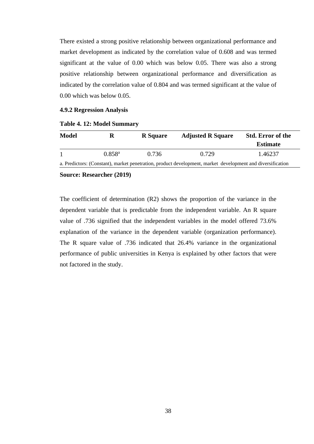There existed a strong positive relationship between organizational performance and market development as indicated by the correlation value of 0.608 and was termed significant at the value of 0.00 which was below 0.05. There was also a strong positive relationship between organizational performance and diversification as indicated by the correlation value of 0.804 and was termed significant at the value of 0.00 which was below 0.05.

#### **4.9.2 Regression Analysis**

| Model | R           | <b>R</b> Square | <b>Adjusted R Square</b>                                                                                   | <b>Std. Error of the</b><br><b>Estimate</b> |
|-------|-------------|-----------------|------------------------------------------------------------------------------------------------------------|---------------------------------------------|
|       | $0.858^{a}$ | 0.736           | 0.729                                                                                                      | 1.46237                                     |
|       |             |                 | a. Predictors: (Constant), market penetration, product development, market development and diversification |                                             |

#### **Table 4. 12: Model Summary**

**Source: Researcher (2019)**

The coefficient of determination (R2) shows the proportion of the variance in the dependent variable that is predictable from the independent variable. An R square value of .736 signified that the independent variables in the model offered 73.6% explanation of the variance in the dependent variable (organization performance). The R square value of .736 indicated that 26.4% variance in the organizational performance of public universities in Kenya is explained by other factors that were not factored in the study.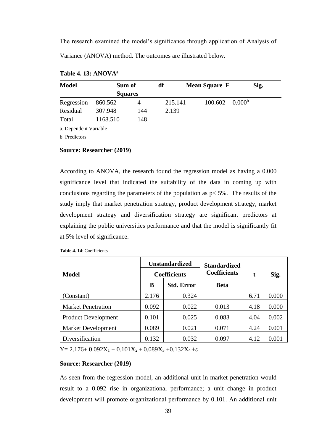The research examined the model's significance through application of Analysis of Variance (ANOVA) method. The outcomes are illustrated below.

| <b>Model</b>          | Sum of         |     | df      | <b>Mean Square F</b> |                    |  |
|-----------------------|----------------|-----|---------|----------------------|--------------------|--|
|                       | <b>Squares</b> |     |         |                      |                    |  |
| Regression            | 860.562        | 4   | 215.141 | 100.602              | 0.000 <sup>b</sup> |  |
| Residual              | 307.948        | 144 | 2.139   |                      |                    |  |
| Total                 | 1168.510       | 148 |         |                      |                    |  |
| a. Dependent Variable |                |     |         |                      |                    |  |
| b. Predictors         |                |     |         |                      |                    |  |

#### **Table 4. 13: ANOVA<sup>a</sup>**

**Source: Researcher (2019)**

According to ANOVA, the research found the regression model as having a 0.000 significance level that indicated the suitability of the data in coming up with conclusions regarding the parameters of the population as  $p < 5\%$ . The results of the study imply that market penetration strategy, product development strategy, market development strategy and diversification strategy are significant predictors at explaining the public universities performance and that the model is significantly fit at 5% level of significance.

| <b>Model</b>               | <b>Unstandardized</b><br><b>Coefficients</b> |                   | <b>Standardized</b><br><b>Coefficients</b> | t    | Sig.  |
|----------------------------|----------------------------------------------|-------------------|--------------------------------------------|------|-------|
|                            | в                                            | <b>Std. Error</b> | <b>Beta</b>                                |      |       |
| (Constant)                 | 2.176                                        | 0.324             |                                            | 6.71 | 0.000 |
| <b>Market Penetration</b>  | 0.092                                        | 0.022             | 0.013                                      | 4.18 | 0.000 |
| <b>Product Development</b> | 0.101                                        | 0.025             | 0.083                                      | 4.04 | 0.002 |
| <b>Market Development</b>  | 0.089                                        | 0.021             | 0.071                                      | 4.24 | 0.001 |
| Diversification            | 0.132                                        | 0.032             | 0.097                                      | 4.12 | 0.001 |

**Table 4. 14**: Coefficients

Y = 2.176+  $0.092X_1 + 0.101X_2 + 0.089X_3 + 0.132X_4 + \epsilon$ 

#### **Source: Researcher (2019)**

As seen from the regression model, an additional unit in market penetration would result to a 0.092 rise in organizational performance; a unit change in product development will promote organizational performance by 0.101. An additional unit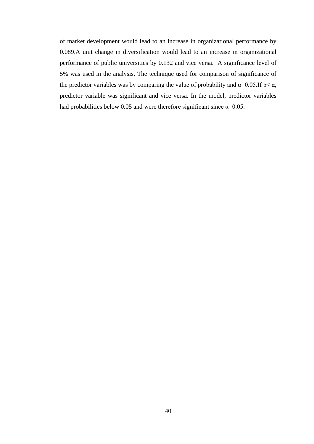of market development would lead to an increase in organizational performance by 0.089.A unit change in diversification would lead to an increase in organizational performance of public universities by 0.132 and vice versa. A significance level of 5% was used in the analysis. The technique used for comparison of significance of the predictor variables was by comparing the value of probability and  $\alpha=0.05$ . If  $p<\alpha$ , predictor variable was significant and vice versa. In the model, predictor variables had probabilities below 0.05 and were therefore significant since  $\alpha$ =0.05.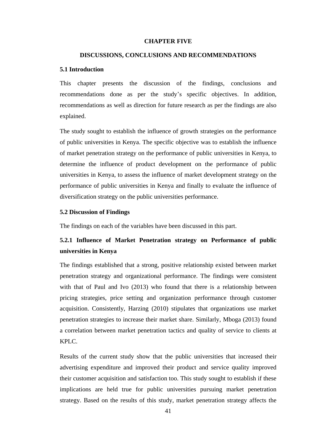#### **CHAPTER FIVE**

#### **DISCUSSIONS, CONCLUSIONS AND RECOMMENDATIONS**

#### **5.1 Introduction**

This chapter presents the discussion of the findings, conclusions and recommendations done as per the study's specific objectives. In addition, recommendations as well as direction for future research as per the findings are also explained.

The study sought to establish the influence of growth strategies on the performance of public universities in Kenya. The specific objective was to establish the influence of market penetration strategy on the performance of public universities in Kenya, to determine the influence of product development on the performance of public universities in Kenya, to assess the influence of market development strategy on the performance of public universities in Kenya and finally to evaluate the influence of diversification strategy on the public universities performance.

#### **5.2 Discussion of Findings**

The findings on each of the variables have been discussed in this part.

# **5.2.1 Influence of Market Penetration strategy on Performance of public universities in Kenya**

The findings established that a strong, positive relationship existed between market penetration strategy and organizational performance. The findings were consistent with that of Paul and Ivo (2013) who found that there is a relationship between pricing strategies, price setting and organization performance through customer acquisition. Consistently, Harzing (2010) stipulates that organizations use market penetration strategies to increase their market share. Similarly, Mboga (2013) found a correlation between market penetration tactics and quality of service to clients at KPLC.

Results of the current study show that the public universities that increased their advertising expenditure and improved their product and service quality improved their customer acquisition and satisfaction too. This study sought to establish if these implications are held true for public universities pursuing market penetration strategy. Based on the results of this study, market penetration strategy affects the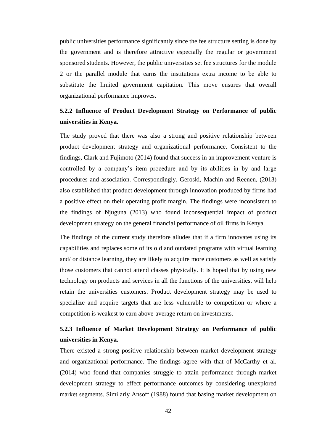public universities performance significantly since the fee structure setting is done by the government and is therefore attractive especially the regular or government sponsored students. However, the public universities set fee structures for the module 2 or the parallel module that earns the institutions extra income to be able to substitute the limited government capitation. This move ensures that overall organizational performance improves.

# **5.2.2 Influence of Product Development Strategy on Performance of public universities in Kenya.**

The study proved that there was also a strong and positive relationship between product development strategy and organizational performance. Consistent to the findings, Clark and Fujimoto (2014) found that success in an improvement venture is controlled by a company's item procedure and by its abilities in by and large procedures and association. Correspondingly, Geroski, Machin and Reenen, (2013) also established that product development through innovation produced by firms had a positive effect on their operating profit margin. The findings were inconsistent to the findings of Njuguna (2013) who found inconsequential impact of product development strategy on the general financial performance of oil firms in Kenya.

The findings of the current study therefore alludes that if a firm innovates using its capabilities and replaces some of its old and outdated programs with virtual learning and/ or distance learning, they are likely to acquire more customers as well as satisfy those customers that cannot attend classes physically. It is hoped that by using new technology on products and services in all the functions of the universities, will help retain the universities customers. Product development strategy may be used to specialize and acquire targets that are less vulnerable to competition or where a competition is weakest to earn above-average return on investments.

# **5.2.3 Influence of Market Development Strategy on Performance of public universities in Kenya.**

There existed a strong positive relationship between market development strategy and organizational performance. The findings agree with that of McCarthy et al. (2014) who found that companies struggle to attain performance through market development strategy to effect performance outcomes by considering unexplored market segments. Similarly Ansoff (1988) found that basing market development on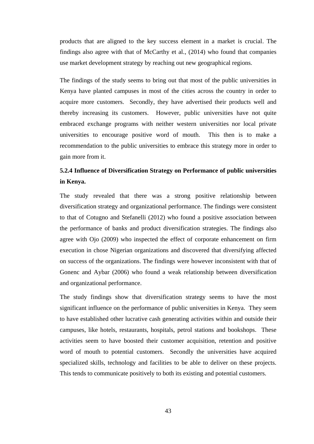products that are aligned to the key success element in a market is crucial. The findings also agree with that of McCarthy et al., (2014) who found that companies use market development strategy by reaching out new geographical regions.

The findings of the study seems to bring out that most of the public universities in Kenya have planted campuses in most of the cities across the country in order to acquire more customers. Secondly, they have advertised their products well and thereby increasing its customers. However, public universities have not quite embraced exchange programs with neither western universities nor local private universities to encourage positive word of mouth. This then is to make a recommendation to the public universities to embrace this strategy more in order to gain more from it.

# **5.2.4 Influence of Diversification Strategy on Performance of public universities in Kenya.**

The study revealed that there was a strong positive relationship between diversification strategy and organizational performance. The findings were consistent to that of Cotugno and Stefanelli (2012) who found a positive association between the performance of banks and product diversification strategies. The findings also agree with Ojo (2009) who inspected the effect of corporate enhancement on firm execution in chose Nigerian organizations and discovered that diversifying affected on success of the organizations. The findings were however inconsistent with that of Gonenc and Aybar (2006) who found a weak relationship between diversification and organizational performance.

The study findings show that diversification strategy seems to have the most significant influence on the performance of public universities in Kenya. They seem to have established other lucrative cash generating activities within and outside their campuses, like hotels, restaurants, hospitals, petrol stations and bookshops. These activities seem to have boosted their customer acquisition, retention and positive word of mouth to potential customers. Secondly the universities have acquired specialized skills, technology and facilities to be able to deliver on these projects. This tends to communicate positively to both its existing and potential customers.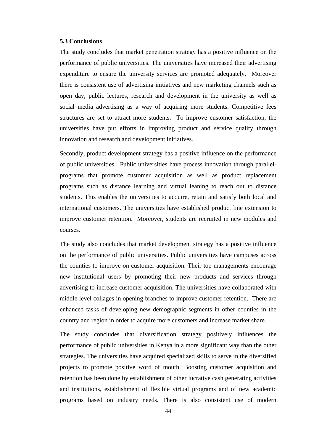#### **5.3 Conclusions**

The study concludes that market penetration strategy has a positive influence on the performance of public universities. The universities have increased their advertising expenditure to ensure the university services are promoted adequately. Moreover there is consistent use of advertising initiatives and new marketing channels such as open day, public lectures, research and development in the university as well as social media advertising as a way of acquiring more students. Competitive fees structures are set to attract more students. To improve customer satisfaction, the universities have put efforts in improving product and service quality through innovation and research and development initiatives.

Secondly, product development strategy has a positive influence on the performance of public universities. Public universities have process innovation through parallelprograms that promote customer acquisition as well as product replacement programs such as distance learning and virtual leaning to reach out to distance students. This enables the universities to acquire, retain and satisfy both local and international customers. The universities have established product line extension to improve customer retention. Moreover, students are recruited in new modules and courses.

The study also concludes that market development strategy has a positive influence on the performance of public universities. Public universities have campuses across the counties to improve on customer acquisition. Their top managements encourage new institutional users by promoting their new products and services through advertising to increase customer acquisition. The universities have collaborated with middle level collages in opening branches to improve customer retention. There are enhanced tasks of developing new demographic segments in other counties in the country and region in order to acquire more customers and increase market share.

The study concludes that diversification strategy positively influences the performance of public universities in Kenya in a more significant way than the other strategies. The universities have acquired specialized skills to serve in the diversified projects to promote positive word of mouth. Boosting customer acquisition and retention has been done by establishment of other lucrative cash generating activities and institutions, establishment of flexible virtual programs and of new academic programs based on industry needs. There is also consistent use of modern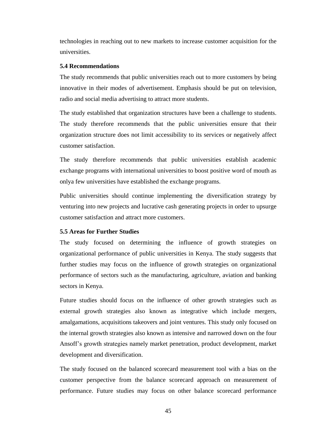technologies in reaching out to new markets to increase customer acquisition for the universities.

#### **5.4 Recommendations**

The study recommends that public universities reach out to more customers by being innovative in their modes of advertisement. Emphasis should be put on television, radio and social media advertising to attract more students.

The study established that organization structures have been a challenge to students. The study therefore recommends that the public universities ensure that their organization structure does not limit accessibility to its services or negatively affect customer satisfaction.

The study therefore recommends that public universities establish academic exchange programs with international universities to boost positive word of mouth as onlya few universities have established the exchange programs.

Public universities should continue implementing the diversification strategy by venturing into new projects and lucrative cash generating projects in order to upsurge customer satisfaction and attract more customers.

#### **5.5 Areas for Further Studies**

The study focused on determining the influence of growth strategies on organizational performance of public universities in Kenya. The study suggests that further studies may focus on the influence of growth strategies on organizational performance of sectors such as the manufacturing, agriculture, aviation and banking sectors in Kenya.

Future studies should focus on the influence of other growth strategies such as external growth strategies also known as integrative which include mergers, amalgamations, acquisitions takeovers and joint ventures. This study only focused on the internal growth strategies also known as intensive and narrowed down on the four Ansoff's growth strategies namely market penetration, product development, market development and diversification.

The study focused on the balanced scorecard measurement tool with a bias on the customer perspective from the balance scorecard approach on measurement of performance. Future studies may focus on other balance scorecard performance